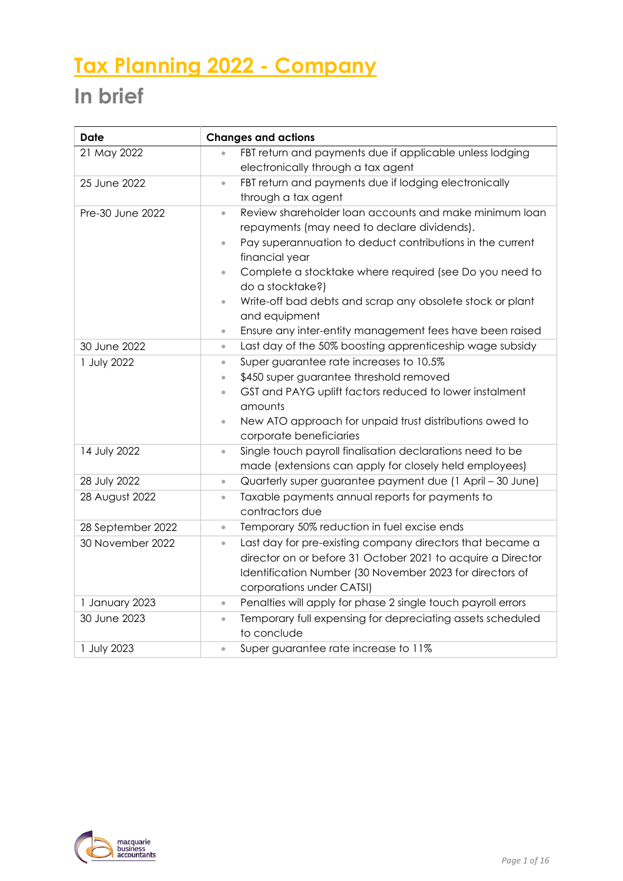# **Tax Planning 2022 - Company**

# **In brief**

| <b>Date</b>       | <b>Changes and actions</b>                                                |
|-------------------|---------------------------------------------------------------------------|
| 21 May 2022       | FBT return and payments due if applicable unless lodging<br>$\bullet$     |
|                   | electronically through a tax agent                                        |
| 25 June 2022      | FBT return and payments due if lodging electronically<br>$\bullet$        |
|                   | through a tax agent                                                       |
| Pre-30 June 2022  | Review shareholder loan accounts and make minimum loan<br>$\bullet$       |
|                   | repayments (may need to declare dividends).                               |
|                   | Pay superannuation to deduct contributions in the current<br>$\bullet$    |
|                   | financial year                                                            |
|                   | Complete a stocktake where required (see Do you need to<br>$\bullet$      |
|                   | do a stocktake?)                                                          |
|                   | Write-off bad debts and scrap any obsolete stock or plant<br>$\bullet$    |
|                   | and equipment                                                             |
|                   | Ensure any inter-entity management fees have been raised<br>$\bullet$     |
| 30 June 2022      | Last day of the 50% boosting apprenticeship wage subsidy<br>$\bullet$     |
| 1 July 2022       | Super guarantee rate increases to 10.5%<br>$\bullet$                      |
|                   | \$450 super guarantee threshold removed<br>$\bullet$                      |
|                   | GST and PAYG uplift factors reduced to lower instalment<br>$\bullet$      |
|                   | amounts                                                                   |
|                   | New ATO approach for unpaid trust distributions owed to<br>$\bullet$      |
|                   | corporate beneficiaries                                                   |
| 14 July 2022      | Single touch payroll finalisation declarations need to be<br>$\bullet$    |
|                   | made (extensions can apply for closely held employees)                    |
| 28 July 2022      | Quarterly super guarantee payment due (1 April - 30 June)<br>$\bullet$    |
| 28 August 2022    | Taxable payments annual reports for payments to<br>$\bullet$              |
|                   | contractors due                                                           |
| 28 September 2022 | Temporary 50% reduction in fuel excise ends<br>$\bullet$                  |
| 30 November 2022  | Last day for pre-existing company directors that became a<br>$\bullet$    |
|                   | director on or before 31 October 2021 to acquire a Director               |
|                   | Identification Number (30 November 2023 for directors of                  |
|                   | corporations under CATSI)                                                 |
| 1 January 2023    | Penalties will apply for phase 2 single touch payroll errors<br>$\bullet$ |
| 30 June 2023      | Temporary full expensing for depreciating assets scheduled<br>$\bullet$   |
|                   | to conclude                                                               |
| 1 July 2023       | Super guarantee rate increase to 11%<br>$\bullet$                         |

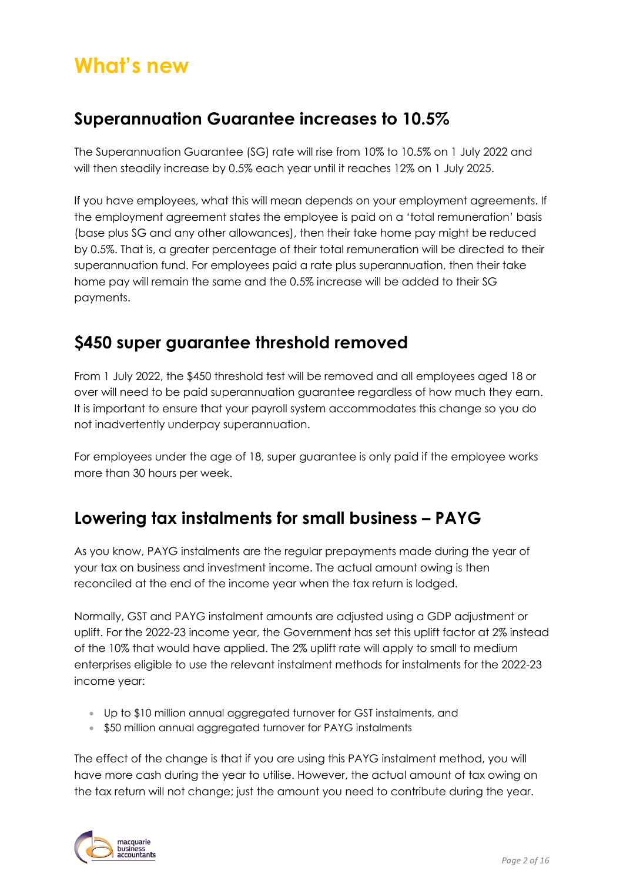# **What's new**

### **Superannuation Guarantee increases to 10.5%**

The Superannuation Guarantee (SG) rate will rise from 10% to 10.5% on 1 July 2022 and will then steadily increase by 0.5% each year until it reaches 12% on 1 July 2025.

If you have employees, what this will mean depends on your employment agreements. If the employment agreement states the employee is paid on a 'total remuneration' basis (base plus SG and any other allowances), then their take home pay might be reduced by 0.5%. That is, a greater percentage of their total remuneration will be directed to their superannuation fund. For employees paid a rate plus superannuation, then their take home pay will remain the same and the 0.5% increase will be added to their SG payments.

### **\$450 super guarantee threshold removed**

From 1 July 2022, the \$450 threshold test will be removed and all employees aged 18 or over will need to be paid superannuation guarantee regardless of how much they earn. It is important to ensure that your payroll system accommodates this change so you do not inadvertently underpay superannuation.

For employees under the age of 18, super guarantee is only paid if the employee works more than 30 hours per week.

### **Lowering tax instalments for small business – PAYG**

As you know, PAYG instalments are the regular prepayments made during the year of your tax on business and investment income. The actual amount owing is then reconciled at the end of the income year when the tax return is lodged.

Normally, GST and PAYG instalment amounts are adjusted using a GDP adjustment or uplift. For the 2022-23 income year, the Government has set this uplift factor at 2% instead of the 10% that would have applied. The 2% uplift rate will apply to small to medium enterprises eligible to use the relevant instalment methods for instalments for the 2022-23 income year:

- Up to \$10 million annual aggregated turnover for GST instalments, and
- \$50 million annual aggregated turnover for PAYG instalments

The effect of the change is that if you are using this PAYG instalment method, you will have more cash during the year to utilise. However, the actual amount of tax owing on the tax return will not change; just the amount you need to contribute during the year.

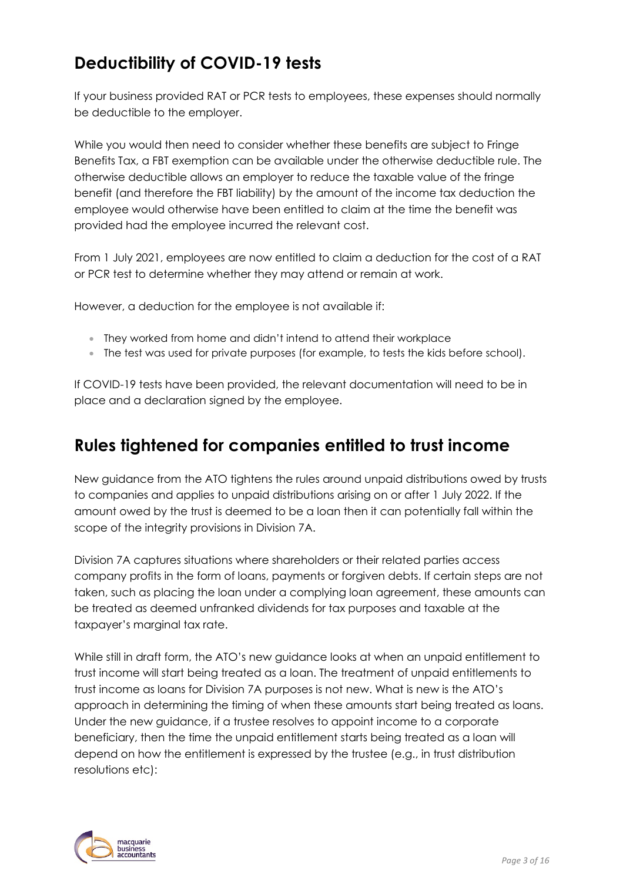## **Deductibility of COVID-19 tests**

If your business provided RAT or PCR tests to employees, these expenses should normally be deductible to the employer.

While you would then need to consider whether these benefits are subject to Fringe Benefits Tax, a FBT exemption can be available under the otherwise deductible rule. The otherwise deductible allows an employer to reduce the taxable value of the fringe benefit (and therefore the FBT liability) by the amount of the income tax deduction the employee would otherwise have been entitled to claim at the time the benefit was provided had the employee incurred the relevant cost.

From 1 July 2021, employees are now entitled to claim a deduction for the cost of a RAT or PCR test to determine whether they may attend or remain at work.

However, a deduction for the employee is not available if:

- They worked from home and didn't intend to attend their workplace
- The test was used for private purposes (for example, to tests the kids before school).

If COVID-19 tests have been provided, the relevant documentation will need to be in place and a declaration signed by the employee.

### **Rules tightened for companies entitled to trust income**

New guidance from the ATO tightens the rules around unpaid distributions owed by trusts to companies and applies to unpaid distributions arising on or after 1 July 2022. If the amount owed by the trust is deemed to be a loan then it can potentially fall within the scope of the integrity provisions in Division 7A.

Division 7A captures situations where shareholders or their related parties access company profits in the form of loans, payments or forgiven debts. If certain steps are not taken, such as placing the loan under a complying loan agreement, these amounts can be treated as deemed unfranked dividends for tax purposes and taxable at the taxpayer's marginal tax rate.

While still in draft form, the ATO's new guidance looks at when an unpaid entitlement to trust income will start being treated as a loan. The treatment of unpaid entitlements to trust income as loans for Division 7A purposes is not new. What is new is the ATO's approach in determining the timing of when these amounts start being treated as loans. Under the new guidance, if a trustee resolves to appoint income to a corporate beneficiary, then the time the unpaid entitlement starts being treated as a loan will depend on how the entitlement is expressed by the trustee (e.g., in trust distribution resolutions etc):

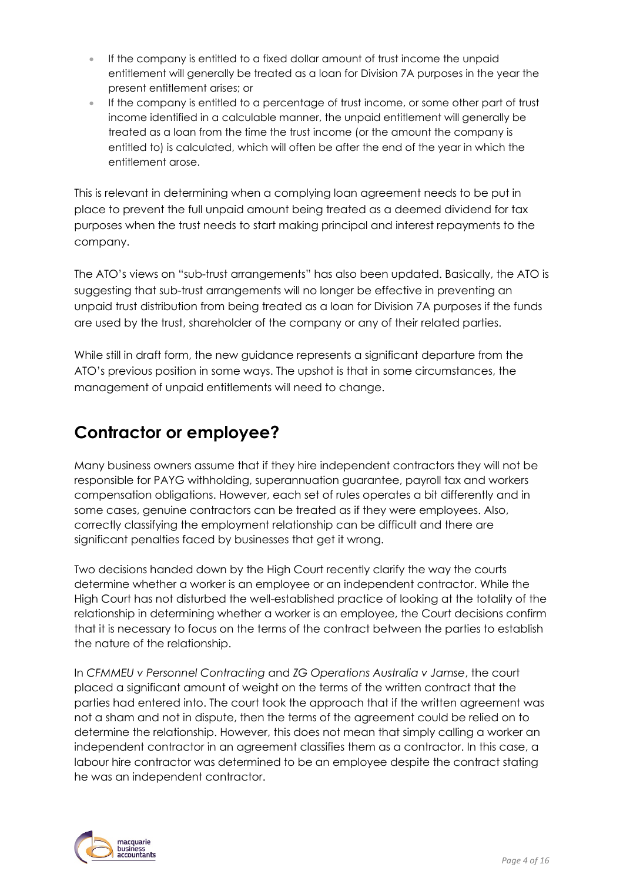- If the company is entitled to a fixed dollar amount of trust income the unpaid entitlement will generally be treated as a loan for Division 7A purposes in the year the present entitlement arises; or
- If the company is entitled to a percentage of trust income, or some other part of trust income identified in a calculable manner, the unpaid entitlement will generally be treated as a loan from the time the trust income (or the amount the company is entitled to) is calculated, which will often be after the end of the year in which the entitlement arose.

This is relevant in determining when a complying loan agreement needs to be put in place to prevent the full unpaid amount being treated as a deemed dividend for tax purposes when the trust needs to start making principal and interest repayments to the company.

The ATO's views on "sub-trust arrangements" has also been updated. Basically, the ATO is suggesting that sub-trust arrangements will no longer be effective in preventing an unpaid trust distribution from being treated as a loan for Division 7A purposes if the funds are used by the trust, shareholder of the company or any of their related parties.

While still in draft form, the new guidance represents a significant departure from the ATO's previous position in some ways. The upshot is that in some circumstances, the management of unpaid entitlements will need to change.

### **Contractor or employee?**

Many business owners assume that if they hire independent contractors they will not be responsible for PAYG withholding, superannuation guarantee, payroll tax and workers compensation obligations. However, each set of rules operates a bit differently and in some cases, genuine contractors can be treated as if they were employees. Also, correctly classifying the employment relationship can be difficult and there are significant penalties faced by businesses that get it wrong.

Two decisions handed down by the High Court recently clarify the way the courts determine whether a worker is an employee or an independent contractor. While the High Court has not disturbed the well-established practice of looking at the totality of the relationship in determining whether a worker is an employee, the Court decisions confirm that it is necessary to focus on the terms of the contract between the parties to establish the nature of the relationship.

In *CFMMEU v Personnel Contracting* and *ZG Operations Australia v Jamse*, the court placed a significant amount of weight on the terms of the written contract that the parties had entered into. The court took the approach that if the written agreement was not a sham and not in dispute, then the terms of the agreement could be relied on to determine the relationship. However, this does not mean that simply calling a worker an independent contractor in an agreement classifies them as a contractor. In this case, a labour hire contractor was determined to be an employee despite the contract stating he was an independent contractor.

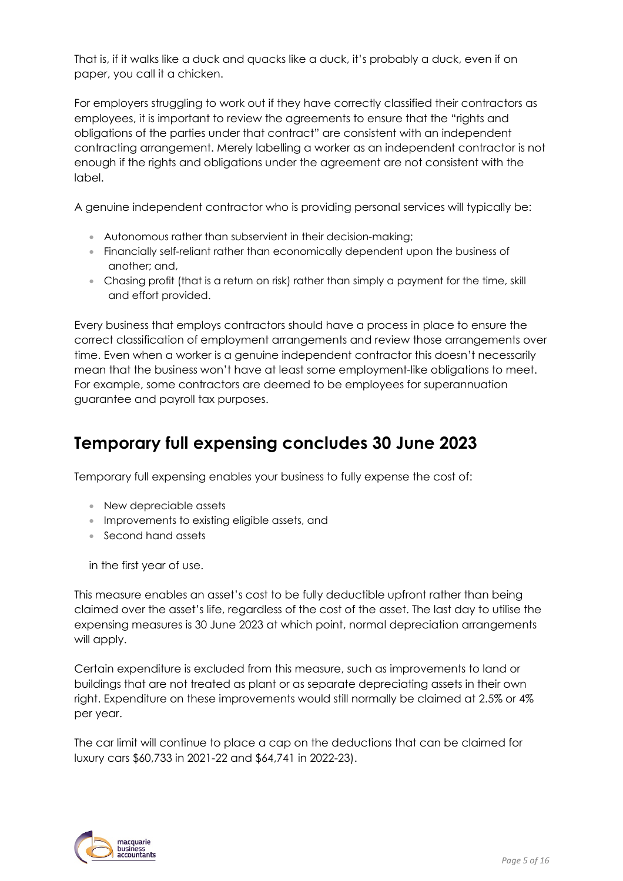That is, if it walks like a duck and quacks like a duck, it's probably a duck, even if on paper, you call it a chicken.

For employers struggling to work out if they have correctly classified their contractors as employees, it is important to review the agreements to ensure that the "rights and obligations of the parties under that contract" are consistent with an independent contracting arrangement. Merely labelling a worker as an independent contractor is not enough if the rights and obligations under the agreement are not consistent with the label.

A genuine independent contractor who is providing personal services will typically be:

- Autonomous rather than subservient in their decision-making;
- Financially self-reliant rather than economically dependent upon the business of another; and,
- Chasing profit (that is a return on risk) rather than simply a payment for the time, skill and effort provided.

Every business that employs contractors should have a process in place to ensure the correct classification of employment arrangements and review those arrangements over time. Even when a worker is a genuine independent contractor this doesn't necessarily mean that the business won't have at least some employment-like obligations to meet. For example, some contractors are deemed to be employees for superannuation guarantee and payroll tax purposes.

### **Temporary full expensing concludes 30 June 2023**

Temporary full expensing enables your business to fully expense the cost of:

- New depreciable assets
- Improvements to existing eligible assets, and
- Second hand assets

in the first year of use.

This measure enables an asset's cost to be fully deductible upfront rather than being claimed over the asset's life, regardless of the cost of the asset. The last day to utilise the expensing measures is 30 June 2023 at which point, normal depreciation arrangements will apply.

Certain expenditure is excluded from this measure, such as improvements to land or buildings that are not treated as plant or as separate depreciating assets in their own right. Expenditure on these improvements would still normally be claimed at 2.5% or 4% per year.

The car limit will continue to place a cap on the deductions that can be claimed for luxury cars \$60,733 in 2021-22 and \$64,741 in 2022-23).

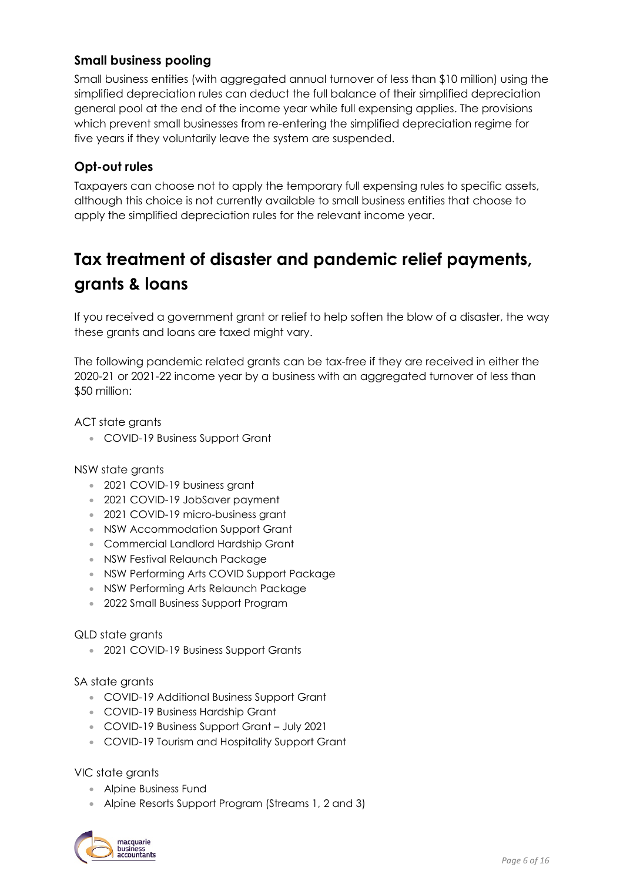#### **Small business pooling**

Small business entities (with aggregated annual turnover of less than \$10 million) using the simplified depreciation rules can deduct the full balance of their simplified depreciation general pool at the end of the income year while full expensing applies. The provisions which prevent small businesses from re-entering the simplified depreciation regime for five years if they voluntarily leave the system are suspended.

#### **Opt-out rules**

Taxpayers can choose not to apply the temporary full expensing rules to specific assets, although this choice is not currently available to small business entities that choose to apply the simplified depreciation rules for the relevant income year.

## **Tax treatment of disaster and pandemic relief payments, grants & loans**

If you received a government grant or relief to help soften the blow of a disaster, the way these grants and loans are taxed might vary.

The following pandemic related grants can be tax-free if they are received in either the 2020-21 or 2021-22 income year by a business with an aggregated turnover of less than \$50 million:

ACT state grants

• COVID-19 Business Support Grant

NSW state grants

- 2021 COVID-19 business grant
- 2021 COVID-19 JobSaver payment
- 2021 COVID-19 micro-business grant
- NSW Accommodation Support Grant
- Commercial Landlord Hardship Grant
- NSW Festival Relaunch Package
- NSW Performing Arts COVID Support Package
- NSW Performing Arts Relaunch Package
- 2022 Small Business Support Program

#### QLD state grants

• 2021 COVID-19 Business Support Grants

SA state grants

- COVID-19 Additional Business Support Grant
- COVID-19 Business Hardship Grant
- COVID-19 Business Support Grant July 2021
- COVID-19 Tourism and Hospitality Support Grant

VIC state grants

- Alpine Business Fund
- Alpine Resorts Support Program (Streams 1, 2 and 3)

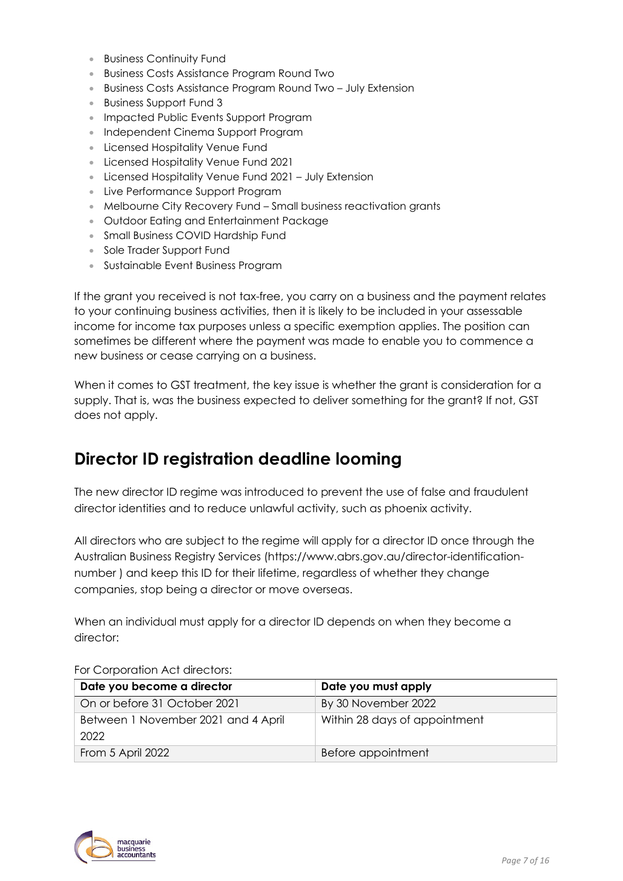- Business Continuity Fund
- Business Costs Assistance Program Round Two
- Business Costs Assistance Program Round Two July Extension
- Business Support Fund 3
- Impacted Public Events Support Program
- Independent Cinema Support Program
- Licensed Hospitality Venue Fund
- Licensed Hospitality Venue Fund 2021
- Licensed Hospitality Venue Fund 2021 July Extension
- Live Performance Support Program
- Melbourne City Recovery Fund Small business reactivation grants
- Outdoor Eating and Entertainment Package
- Small Business COVID Hardship Fund
- Sole Trader Support Fund
- Sustainable Event Business Program

If the grant you received is not tax-free, you carry on a business and the payment relates to your continuing business activities, then it is likely to be included in your assessable income for income tax purposes unless a specific exemption applies. The position can sometimes be different where the payment was made to enable you to commence a new business or cease carrying on a business.

When it comes to GST treatment, the key issue is whether the grant is consideration for a supply. That is, was the business expected to deliver something for the grant? If not, GST does not apply.

### **Director ID registration deadline looming**

The new director ID regime was introduced to prevent the use of false and fraudulent director identities and to reduce unlawful activity, such as phoenix activity.

All directors who are subject to the regime will apply for a director ID once through the Australian Business Registry Services (https://www.abrs.gov.au/director-identificationnumber ) and keep this ID for their lifetime, regardless of whether they change companies, stop being a director or move overseas.

When an individual must apply for a director ID depends on when they become a director:

| Date you become a director                  | Date you must apply           |
|---------------------------------------------|-------------------------------|
| On or before 31 October 2021                | By 30 November 2022           |
| Between 1 November 2021 and 4 April<br>2022 | Within 28 days of appointment |
| From 5 April 2022                           | Before appointment            |

For Corporation Act directors:

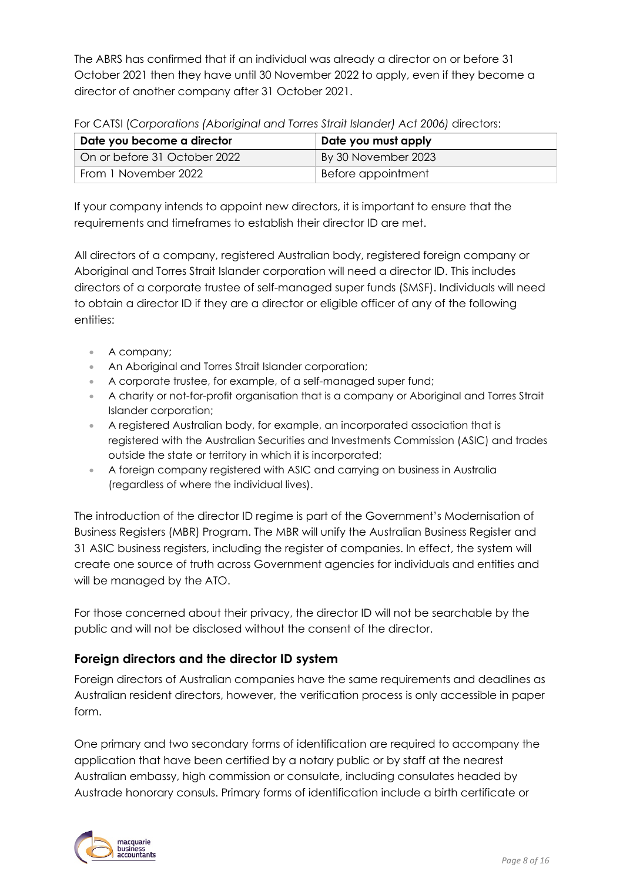The ABRS has confirmed that if an individual was already a director on or before 31 October 2021 then they have until 30 November 2022 to apply, even if they become a director of another company after 31 October 2021.

For CATSI (*Corporations (Aboriginal and Torres Strait Islander) Act 2006)* directors:

| Date you become a director   | Date you must apply |
|------------------------------|---------------------|
| On or before 31 October 2022 | By 30 November 2023 |
| From 1 November 2022         | Before appointment  |

If your company intends to appoint new directors, it is important to ensure that the requirements and timeframes to establish their director ID are met.

All directors of a company, registered Australian body, registered foreign company or Aboriginal and Torres Strait Islander corporation will need a director ID. This includes directors of a corporate trustee of self-managed super funds (SMSF). Individuals will need to obtain a director ID if they are a director or eligible officer of any of the following entities:

- A company;
- An Aboriginal and Torres Strait Islander corporation;
- A corporate trustee, for example, of a self-managed super fund;
- A charity or not-for-profit organisation that is a company or Aboriginal and Torres Strait Islander corporation;
- A registered Australian body, for example, an incorporated association that is registered with the Australian Securities and Investments Commission (ASIC) and trades outside the state or territory in which it is incorporated;
- A foreign company registered with ASIC and carrying on business in Australia (regardless of where the individual lives).

The introduction of the director ID regime is part of the Government's Modernisation of Business Registers (MBR) Program. The MBR will unify the Australian Business Register and 31 ASIC business registers, including the register of companies. In effect, the system will create one source of truth across Government agencies for individuals and entities and will be managed by the ATO.

For those concerned about their privacy, the director ID will not be searchable by the public and will not be disclosed without the consent of the director.

#### **Foreign directors and the director ID system**

Foreign directors of Australian companies have the same requirements and deadlines as Australian resident directors, however, the verification process is only accessible in paper form.

One primary and two secondary forms of identification are required to accompany the application that have been certified by a notary public or by staff at the nearest Australian embassy, high commission or consulate, including consulates headed by Austrade honorary consuls. Primary forms of identification include a birth certificate or

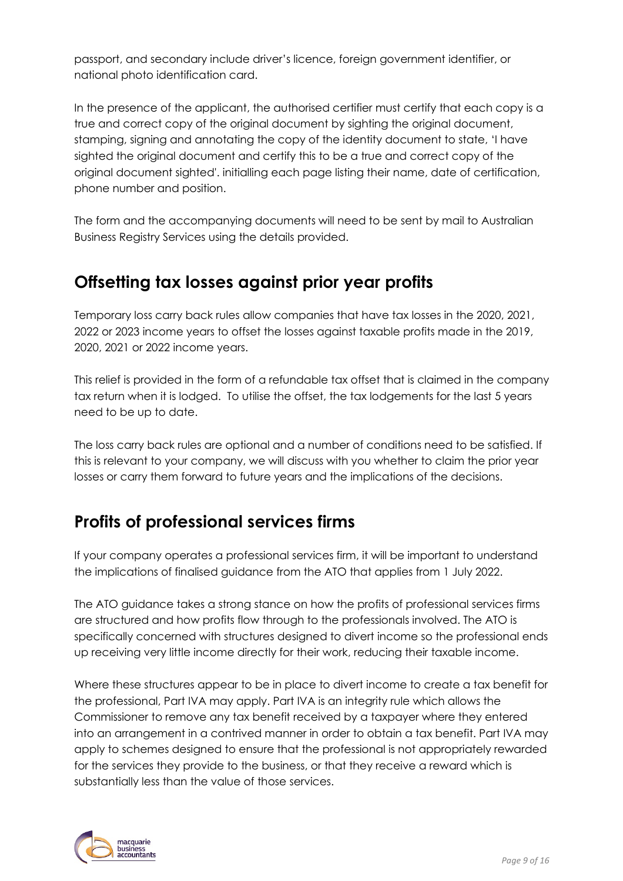passport, and secondary include driver's licence, foreign government identifier, or national photo identification card.

In the presence of the applicant, the authorised certifier must certify that each copy is a true and correct copy of the original document by sighting the original document, stamping, signing and annotating the copy of the identity document to state, 'I have sighted the original document and certify this to be a true and correct copy of the original document sighted'. initialling each page listing their name, date of certification, phone number and position.

The form and the accompanying documents will need to be sent by mail to Australian Business Registry Services using the details provided.

### **Offsetting tax losses against prior year profits**

Temporary loss carry back rules allow companies that have tax losses in the 2020, 2021, 2022 or 2023 income years to offset the losses against taxable profits made in the 2019, 2020, 2021 or 2022 income years.

This relief is provided in the form of a refundable tax offset that is claimed in the company tax return when it is lodged. To utilise the offset, the tax lodgements for the last 5 years need to be up to date.

The loss carry back rules are optional and a number of conditions need to be satisfied. If this is relevant to your company, we will discuss with you whether to claim the prior year losses or carry them forward to future years and the implications of the decisions.

## **Profits of professional services firms**

If your company operates a professional services firm, it will be important to understand the implications of finalised guidance from the ATO that applies from 1 July 2022.

The ATO guidance takes a strong stance on how the profits of professional services firms are structured and how profits flow through to the professionals involved. The ATO is specifically concerned with structures designed to divert income so the professional ends up receiving very little income directly for their work, reducing their taxable income.

Where these structures appear to be in place to divert income to create a tax benefit for the professional, Part IVA may apply. Part IVA is an integrity rule which allows the Commissioner to remove any tax benefit received by a taxpayer where they entered into an arrangement in a contrived manner in order to obtain a tax benefit. Part IVA may apply to schemes designed to ensure that the professional is not appropriately rewarded for the services they provide to the business, or that they receive a reward which is substantially less than the value of those services.

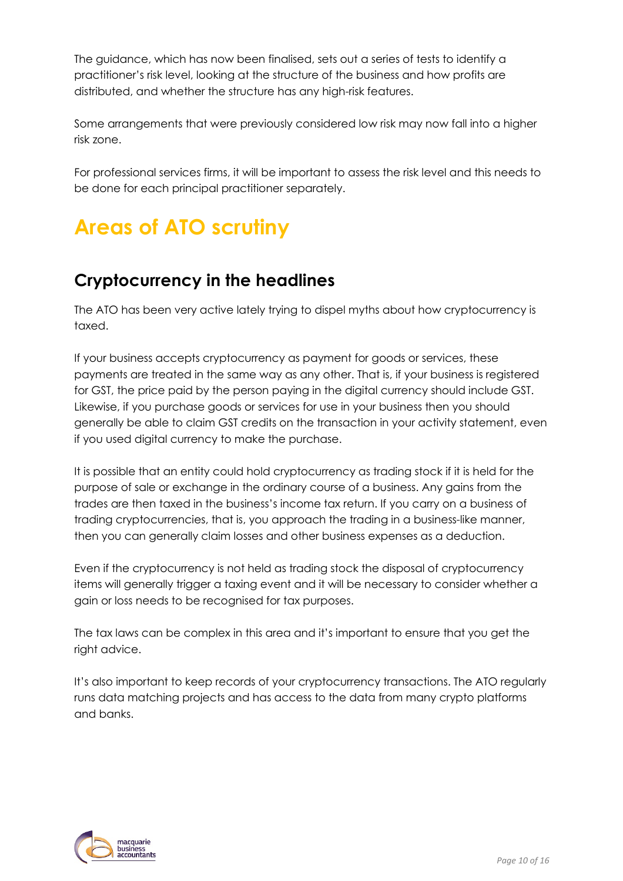The guidance, which has now been finalised, sets out a series of tests to identify a practitioner's risk level, looking at the structure of the business and how profits are distributed, and whether the structure has any high-risk features.

Some arrangements that were previously considered low risk may now fall into a higher risk zone.

For professional services firms, it will be important to assess the risk level and this needs to be done for each principal practitioner separately.

# **Areas of ATO scrutiny**

## **Cryptocurrency in the headlines**

The ATO has been very active lately trying to dispel myths about how cryptocurrency is taxed.

If your business accepts cryptocurrency as payment for goods or services, these payments are treated in the same way as any other. That is, if your business is registered for GST, the price paid by the person paying in the digital currency should include GST. Likewise, if you purchase goods or services for use in your business then you should generally be able to claim GST credits on the transaction in your activity statement, even if you used digital currency to make the purchase.

It is possible that an entity could hold cryptocurrency as trading stock if it is held for the purpose of sale or exchange in the ordinary course of a business. Any gains from the trades are then taxed in the business's income tax return. If you carry on a business of trading cryptocurrencies, that is, you approach the trading in a business-like manner, then you can generally claim losses and other business expenses as a deduction.

Even if the cryptocurrency is not held as trading stock the disposal of cryptocurrency items will generally trigger a taxing event and it will be necessary to consider whether a gain or loss needs to be recognised for tax purposes.

The tax laws can be complex in this area and it's important to ensure that you get the right advice.

It's also important to keep records of your cryptocurrency transactions. The ATO regularly runs data matching projects and has access to the data from many crypto platforms and banks.

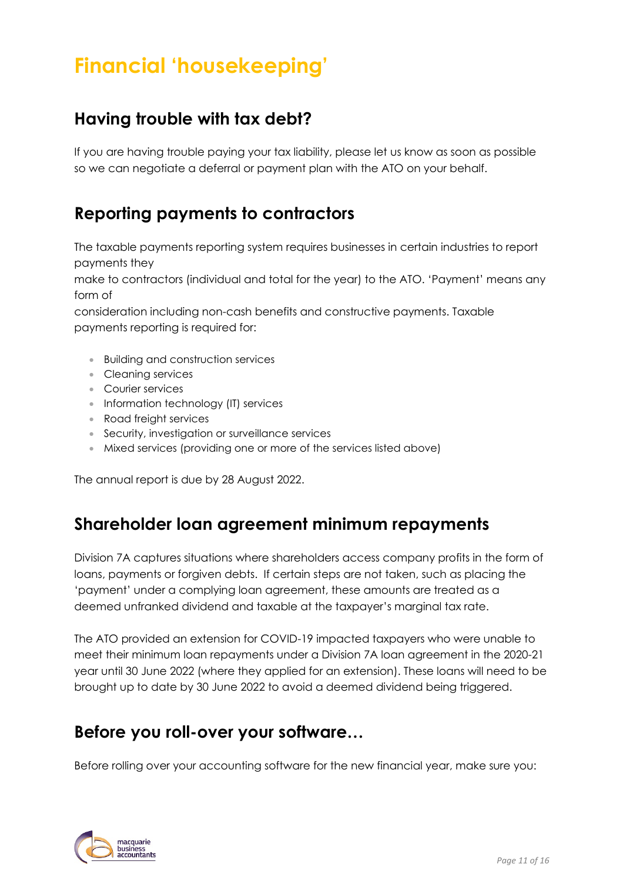# **Financial 'housekeeping'**

### **Having trouble with tax debt?**

If you are having trouble paying your tax liability, please let us know as soon as possible so we can negotiate a deferral or payment plan with the ATO on your behalf.

### **Reporting payments to contractors**

The taxable payments reporting system requires businesses in certain industries to report payments they

make to contractors (individual and total for the year) to the ATO. 'Payment' means any form of

consideration including non-cash benefits and constructive payments. Taxable payments reporting is required for:

- Building and construction services
- Cleaning services
- Courier services
- Information technology (IT) services
- Road freight services
- Security, investigation or surveillance services
- Mixed services (providing one or more of the services listed above)

The annual report is due by 28 August 2022.

### **Shareholder loan agreement minimum repayments**

Division 7A captures situations where shareholders access company profits in the form of loans, payments or forgiven debts. If certain steps are not taken, such as placing the 'payment' under a complying loan agreement, these amounts are treated as a deemed unfranked dividend and taxable at the taxpayer's marginal tax rate.

The ATO provided an extension for COVID-19 impacted taxpayers who were unable to meet their minimum loan repayments under a Division 7A loan agreement in the 2020-21 year until 30 June 2022 (where they applied for an extension). These loans will need to be brought up to date by 30 June 2022 to avoid a deemed dividend being triggered.

### **Before you roll-over your software…**

Before rolling over your accounting software for the new financial year, make sure you:

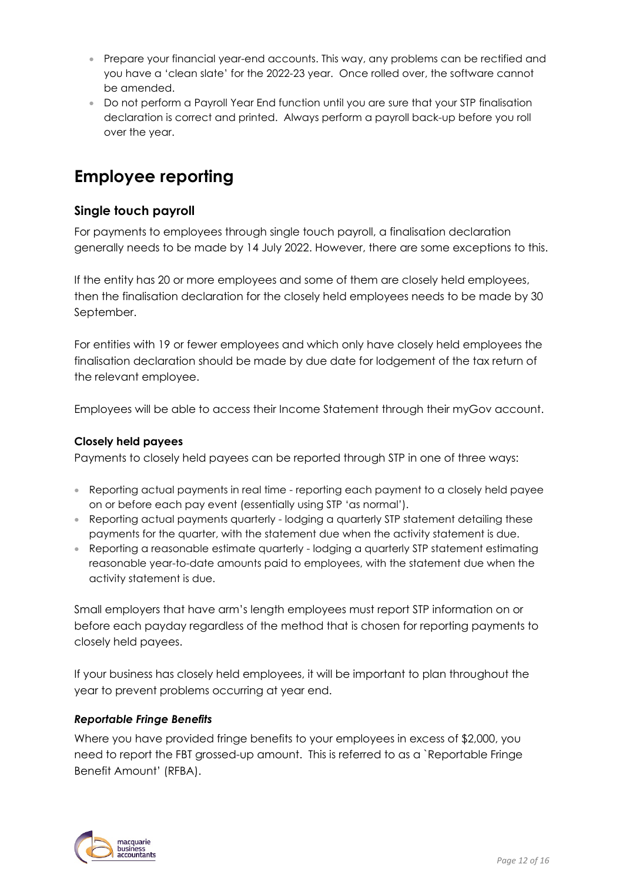- Prepare your financial year-end accounts. This way, any problems can be rectified and you have a 'clean slate' for the 2022-23 year. Once rolled over, the software cannot be amended.
- Do not perform a Payroll Year End function until you are sure that your STP finalisation declaration is correct and printed. Always perform a payroll back-up before you roll over the year.

### **Employee reporting**

#### **Single touch payroll**

For payments to employees through single touch payroll, a finalisation declaration generally needs to be made by 14 July 2022. However, there are some exceptions to this.

If the entity has 20 or more employees and some of them are closely held employees, then the finalisation declaration for the closely held employees needs to be made by 30 September.

For entities with 19 or fewer employees and which only have closely held employees the finalisation declaration should be made by due date for lodgement of the tax return of the relevant employee.

Employees will be able to access their Income Statement through their myGov account.

#### **Closely held payees**

Payments to closely held payees can be reported through STP in one of three ways:

- Reporting actual payments in real time reporting each payment to a closely held payee on or before each pay event (essentially using STP 'as normal').
- Reporting actual payments quarterly lodging a quarterly STP statement detailing these payments for the quarter, with the statement due when the activity statement is due.
- Reporting a reasonable estimate quarterly lodging a quarterly STP statement estimating reasonable year-to-date amounts paid to employees, with the statement due when the activity statement is due.

Small employers that have arm's length employees must report STP information on or before each payday regardless of the method that is chosen for reporting payments to closely held payees.

If your business has closely held employees, it will be important to plan throughout the year to prevent problems occurring at year end.

#### *Reportable Fringe Benefits*

Where you have provided fringe benefits to your employees in excess of \$2,000, you need to report the FBT grossed-up amount. This is referred to as a `Reportable Fringe Benefit Amount' (RFBA).

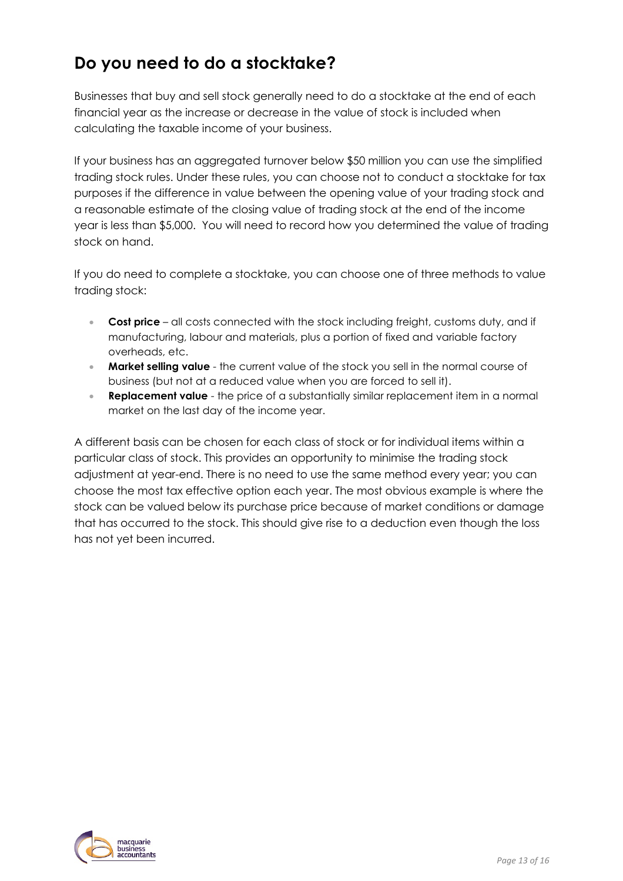## **Do you need to do a stocktake?**

Businesses that buy and sell stock generally need to do a stocktake at the end of each financial year as the increase or decrease in the value of stock is included when calculating the taxable income of your business.

If your business has an aggregated turnover below \$50 million you can use the simplified trading stock rules. Under these rules, you can choose not to conduct a stocktake for tax purposes if the difference in value between the opening value of your trading stock and a reasonable estimate of the closing value of trading stock at the end of the income year is less than \$5,000. You will need to record how you determined the value of trading stock on hand.

If you do need to complete a stocktake, you can choose one of three methods to value trading stock:

- **Cost price** all costs connected with the stock including freight, customs duty, and if manufacturing, labour and materials, plus a portion of fixed and variable factory overheads, etc.
- **Market selling value** the current value of the stock you sell in the normal course of business (but not at a reduced value when you are forced to sell it).
- **Replacement value** the price of a substantially similar replacement item in a normal market on the last day of the income year.

A different basis can be chosen for each class of stock or for individual items within a particular class of stock. This provides an opportunity to minimise the trading stock adjustment at year-end. There is no need to use the same method every year; you can choose the most tax effective option each year. The most obvious example is where the stock can be valued below its purchase price because of market conditions or damage that has occurred to the stock. This should give rise to a deduction even though the loss has not yet been incurred.

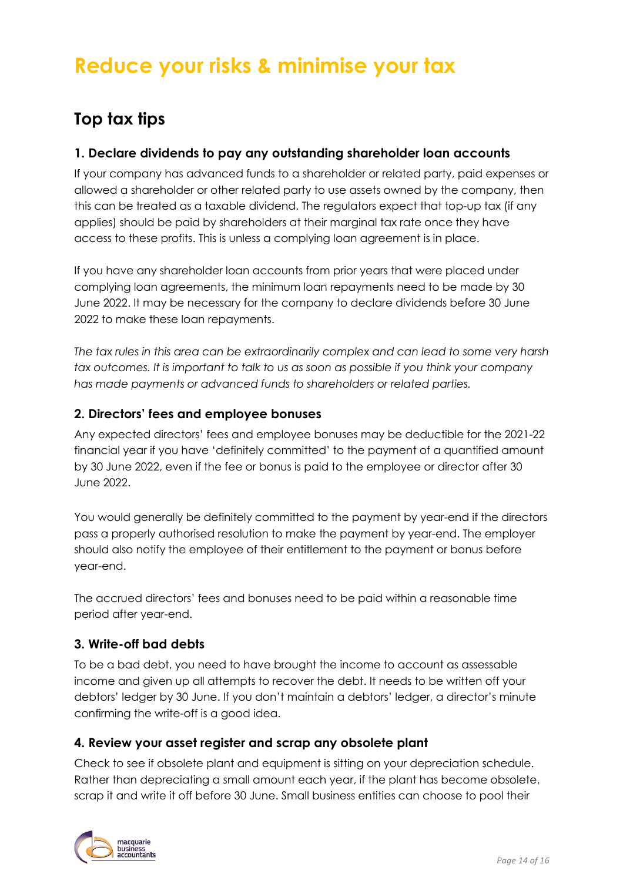# **Reduce your risks & minimise your tax**

## **Top tax tips**

#### **1. Declare dividends to pay any outstanding shareholder loan accounts**

If your company has advanced funds to a shareholder or related party, paid expenses or allowed a shareholder or other related party to use assets owned by the company, then this can be treated as a taxable dividend. The regulators expect that top-up tax (if any applies) should be paid by shareholders at their marginal tax rate once they have access to these profits. This is unless a complying loan agreement is in place.

If you have any shareholder loan accounts from prior years that were placed under complying loan agreements, the minimum loan repayments need to be made by 30 June 2022. It may be necessary for the company to declare dividends before 30 June 2022 to make these loan repayments.

*The tax rules in this area can be extraordinarily complex and can lead to some very harsh tax outcomes. It is important to talk to us as soon as possible if you think your company has made payments or advanced funds to shareholders or related parties.* 

#### **2. Directors' fees and employee bonuses**

Any expected directors' fees and employee bonuses may be deductible for the 2021-22 financial year if you have 'definitely committed' to the payment of a quantified amount by 30 June 2022, even if the fee or bonus is paid to the employee or director after 30 June 2022.

You would generally be definitely committed to the payment by year-end if the directors pass a properly authorised resolution to make the payment by year-end. The employer should also notify the employee of their entitlement to the payment or bonus before year-end.

The accrued directors' fees and bonuses need to be paid within a reasonable time period after year-end.

#### **3. Write-off bad debts**

To be a bad debt, you need to have brought the income to account as assessable income and given up all attempts to recover the debt. It needs to be written off your debtors' ledger by 30 June. If you don't maintain a debtors' ledger, a director's minute confirming the write-off is a good idea.

#### **4. Review your asset register and scrap any obsolete plant**

Check to see if obsolete plant and equipment is sitting on your depreciation schedule. Rather than depreciating a small amount each year, if the plant has become obsolete, scrap it and write it off before 30 June. Small business entities can choose to pool their

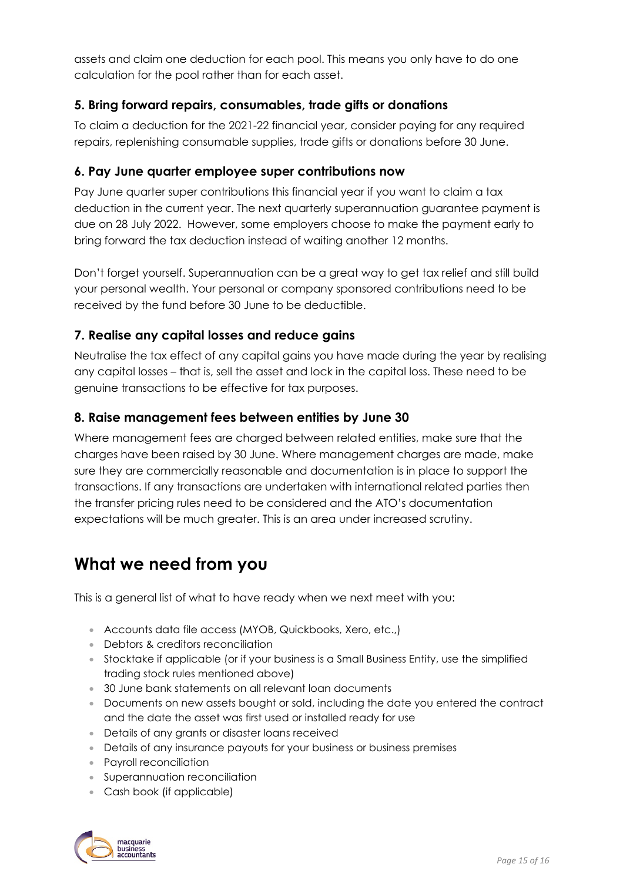assets and claim one deduction for each pool. This means you only have to do one calculation for the pool rather than for each asset.

### **5. Bring forward repairs, consumables, trade gifts or donations**

To claim a deduction for the 2021-22 financial year, consider paying for any required repairs, replenishing consumable supplies, trade gifts or donations before 30 June.

#### **6. Pay June quarter employee super contributions now**

Pay June quarter super contributions this financial year if you want to claim a tax deduction in the current year. The next quarterly superannuation guarantee payment is due on 28 July 2022. However, some employers choose to make the payment early to bring forward the tax deduction instead of waiting another 12 months.

Don't forget yourself. Superannuation can be a great way to get tax relief and still build your personal wealth. Your personal or company sponsored contributions need to be received by the fund before 30 June to be deductible.

#### **7. Realise any capital losses and reduce gains**

Neutralise the tax effect of any capital gains you have made during the year by realising any capital losses – that is, sell the asset and lock in the capital loss. These need to be genuine transactions to be effective for tax purposes.

#### **8. Raise management fees between entities by June 30**

Where management fees are charged between related entities, make sure that the charges have been raised by 30 June. Where management charges are made, make sure they are commercially reasonable and documentation is in place to support the transactions. If any transactions are undertaken with international related parties then the transfer pricing rules need to be considered and the ATO's documentation expectations will be much greater. This is an area under increased scrutiny.

### **What we need from you**

This is a general list of what to have ready when we next meet with you:

- Accounts data file access (MYOB, Quickbooks, Xero, etc.,)
- Debtors & creditors reconciliation
- Stocktake if applicable (or if your business is a Small Business Entity, use the simplified trading stock rules mentioned above)
- 30 June bank statements on all relevant loan documents
- Documents on new assets bought or sold, including the date you entered the contract and the date the asset was first used or installed ready for use
- Details of any grants or disaster loans received
- Details of any insurance payouts for your business or business premises
- Payroll reconciliation
- Superannuation reconciliation
- Cash book (if applicable)